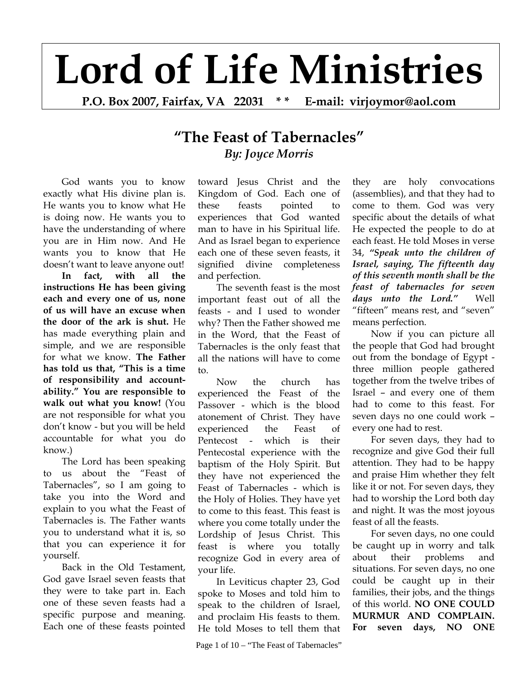## **Lord of Life Ministries**

**P.O. Box 2007, Fairfax, VA 22031 \* \* E-mail: virjoymor@aol.com** 

## **"The Feast of Tabernacles"** *By: Joyce Morris*

God wants you to know exactly what His divine plan is. He wants you to know what He is doing now. He wants you to have the understanding of where you are in Him now. And He wants you to know that He doesn't want to leave anyone out!

**In fact, with all the instructions He has been giving each and every one of us, none of us will have an excuse when the door of the ark is shut.** He has made everything plain and simple, and we are responsible for what we know. **The Father has told us that, "This is a time of responsibility and accountability." You are responsible to walk out what you know!** (You are not responsible for what you don't know - but you will be held accountable for what you do know.)

The Lord has been speaking to us about the "Feast of Tabernacles", so I am going to take you into the Word and explain to you what the Feast of Tabernacles is. The Father wants you to understand what it is, so that you can experience it for yourself.

Back in the Old Testament, God gave Israel seven feasts that they were to take part in. Each one of these seven feasts had a specific purpose and meaning. Each one of these feasts pointed toward Jesus Christ and the Kingdom of God. Each one of these feasts pointed to experiences that God wanted man to have in his Spiritual life. And as Israel began to experience each one of these seven feasts, it signified divine completeness and perfection.

The seventh feast is the most important feast out of all the feasts - and I used to wonder why? Then the Father showed me in the Word, that the Feast of Tabernacles is the only feast that all the nations will have to come to.

Now the church has experienced the Feast of the Passover - which is the blood atonement of Christ. They have experienced the Feast of Pentecost - which is their Pentecostal experience with the baptism of the Holy Spirit. But they have not experienced the Feast of Tabernacles - which is the Holy of Holies. They have yet to come to this feast. This feast is where you come totally under the Lordship of Jesus Christ. This feast is where you totally recognize God in every area of your life.

In Leviticus chapter 23, God spoke to Moses and told him to speak to the children of Israel, and proclaim His feasts to them. He told Moses to tell them that

Page 1 of  $10 -$  "The Feast of Tabernacles"

they are holy convocations (assemblies), and that they had to come to them. God was very specific about the details of what He expected the people to do at each feast. He told Moses in verse 34, *"Speak unto the children of Israel, saying, The fifteenth day of this seventh month shall be the feast of tabernacles for seven days unto the Lord."* Well "fifteen" means rest, and "seven" means perfection.

Now if you can picture all the people that God had brought out from the bondage of Egypt three million people gathered together from the twelve tribes of Israel – and every one of them had to come to this feast. For seven days no one could work – every one had to rest.

For seven days, they had to recognize and give God their full attention. They had to be happy and praise Him whether they felt like it or not. For seven days, they had to worship the Lord both day and night. It was the most joyous feast of all the feasts.

For seven days, no one could be caught up in worry and talk about their problems and situations. For seven days, no one could be caught up in their families, their jobs, and the things of this world. **NO ONE COULD MURMUR AND COMPLAIN. For seven days, NO ONE**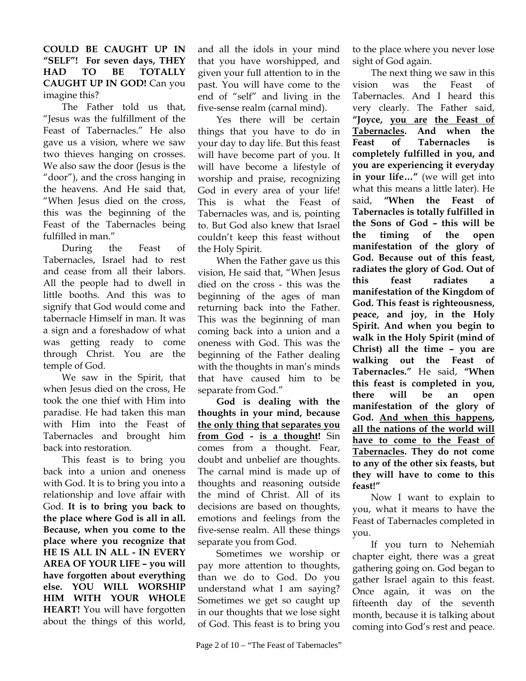**COULD BE CAUGHT UP IN "SELF"! For seven days, THEY HAD TO BE TOTALLY CAUGHT UP IN GOD!** Can you imagine this?

The Father told us that, "Jesus was the fulfillment of the Feast of Tabernacles." He also gave us a vision, where we saw two thieves hanging on crosses. We also saw the door (Jesus is the "door"), and the cross hanging in the heavens. And He said that, "When Jesus died on the cross, this was the beginning of the Feast of the Tabernacles being fulfilled in man."

During the Feast of Tabernacles, Israel had to rest and cease from all their labors. All the people had to dwell in little booths. And this was to signify that God would come and tabernacle Himself in man. It was a sign and a foreshadow of what was getting ready to come through Christ. You are the temple of God.

We saw in the Spirit, that when Jesus died on the cross, He took the one thief with Him into paradise. He had taken this man with Him into the Feast of Tabernacles and brought him back into restoration.

This feast is to bring you back into a union and oneness with God. It is to bring you into a relationship and love affair with God. **It is to bring you back to the place where God is all in all. Because, when you come to the place where you recognize that HE IS ALL IN ALL - IN EVERY AREA OF YOUR LIFE – you will have forgotten about everything else. YOU WILL WORSHIP HIM WITH YOUR WHOLE HEART!** You will have forgotten about the things of this world,

and all the idols in your mind that you have worshipped, and given your full attention to in the past. You will have come to the end of "self" and living in the five-sense realm (carnal mind).

Yes there will be certain things that you have to do in your day to day life. But this feast will have become part of you. It will have become a lifestyle of worship and praise, recognizing God in every area of your life! This is what the Feast of Tabernacles was, and is, pointing to. But God also knew that Israel couldn't keep this feast without the Holy Spirit.

When the Father gave us this vision, He said that, "When Jesus died on the cross - this was the beginning of the ages of man returning back into the Father. This was the beginning of man coming back into a union and a oneness with God. This was the beginning of the Father dealing with the thoughts in man's minds that have caused him to be separate from God."

**God is dealing with the thoughts in your mind, because the only thing that separates you from God - is a thought!** Sin comes from a thought. Fear, doubt and unbelief are thoughts. The carnal mind is made up of thoughts and reasoning outside the mind of Christ. All of its decisions are based on thoughts, emotions and feelings from the five-sense realm. All these things separate you from God.

Sometimes we worship or pay more attention to thoughts, than we do to God. Do you understand what I am saying? Sometimes we get so caught up in our thoughts that we lose sight of God. This feast is to bring you

to the place where you never lose sight of God again.

The next thing we saw in this vision was the Feast of Tabernacles. And I heard this very clearly. The Father said, **"Joyce, you are the Feast of Tabernacles. And when the Feast of Tabernacles is completely fulfilled in you, and you are experiencing it everyday in your life…"** (we will get into what this means a little later). He said, **"When the Feast of Tabernacles is totally fulfilled in the Sons of God – this will be the timing of the open manifestation of the glory of God. Because out of this feast, radiates the glory of God. Out of this feast radiates a manifestation of the Kingdom of God. This feast is righteousness, peace, and joy, in the Holy Spirit. And when you begin to walk in the Holy Spirit (mind of Christ) all the time – you are walking out the Feast of Tabernacles."** He said, **"When this feast is completed in you, there will be an open manifestation of the glory of God. And when this happens, all the nations of the world will have to come to the Feast of Tabernacles. They do not come to any of the other six feasts, but they will have to come to this feast!"**

Now I want to explain to you, what it means to have the Feast of Tabernacles completed in you.

If you turn to Nehemiah chapter eight, there was a great gathering going on. God began to gather Israel again to this feast. Once again, it was on the fifteenth day of the seventh month, because it is talking about coming into God's rest and peace.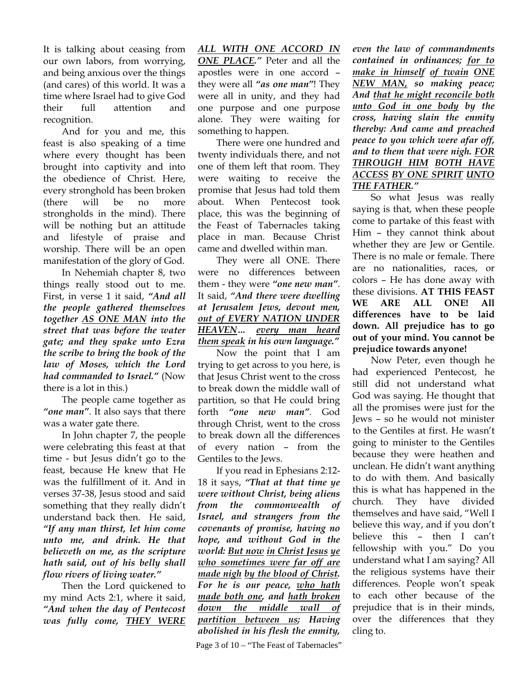It is talking about ceasing from our own labors, from worrying, and being anxious over the things (and cares) of this world. It was a time where Israel had to give God their full attention and recognition.

And for you and me, this feast is also speaking of a time where every thought has been brought into captivity and into the obedience of Christ. Here, every stronghold has been broken (there will be no more strongholds in the mind). There will be nothing but an attitude and lifestyle of praise and worship. There will be an open manifestation of the glory of God.

In Nehemiah chapter 8, two things really stood out to me. First, in verse 1 it said, *"And all the people gathered themselves together AS ONE MAN into the street that was before the water gate; and they spake unto Ezra the scribe to bring the book of the law of Moses, which the Lord had commanded to Israel."* (Now there is a lot in this.)

The people came together as *"one man"*. It also says that there was a water gate there.

In John chapter 7, the people were celebrating this feast at that time - but Jesus didn't go to the feast, because He knew that He was the fulfillment of it. And in verses 37-38, Jesus stood and said something that they really didn't understand back then. He said, *"If any man thirst, let him come unto me, and drink. He that believeth on me, as the scripture hath said, out of his belly shall flow rivers of living water."* 

Then the Lord quickened to my mind Acts 2:1, where it said, *"And when the day of Pentecost was fully come, THEY WERE* 

*ALL WITH ONE ACCORD IN ONE PLACE."* Peter and all the apostles were in one accord – they were all *"as one man"*! They were all in unity, and they had one purpose and one purpose alone. They were waiting for something to happen.

There were one hundred and twenty individuals there, and not one of them left that room. They were waiting to receive the promise that Jesus had told them about. When Pentecost took place, this was the beginning of the Feast of Tabernacles taking place in man. Because Christ came and dwelled within man.

They were all ONE. There were no differences between them - they were *"one new man"*. It said, *"And there were dwelling at Jerusalem Jews, devout men, out of EVERY NATION UNDER HEAVEN… every man heard them speak in his own language."*

Now the point that I am trying to get across to you here, is that Jesus Christ went to the cross to break down the middle wall of partition, so that He could bring forth *"one new man"*. God through Christ, went to the cross to break down all the differences of every nation – from the Gentiles to the Jews.

If you read in Ephesians 2:12- 18 it says, *"That at that time ye were without Christ, being aliens from the commonwealth of Israel, and strangers from the covenants of promise, having no hope, and without God in the world: But now in Christ Jesus ye who sometimes were far off are made nigh by the blood of Christ. For he is our peace, who hath made both one, and hath broken down the middle wall of partition between us; Having abolished in his flesh the enmity,* 

Page 3 of  $10 -$  "The Feast of Tabernacles"

*even the law of commandments contained in ordinances; for to make in himself of twain ONE NEW MAN, so making peace; And that he might reconcile both unto God in one body by the cross, having slain the enmity thereby: And came and preached peace to you which were afar off, and to them that were nigh. FOR THROUGH HIM BOTH HAVE ACCESS BY ONE SPIRIT UNTO THE FATHER."* 

So what Jesus was really saying is that, when these people come to partake of this feast with Him – they cannot think about whether they are Jew or Gentile. There is no male or female. There are no nationalities, races, or colors – He has done away with these divisions. **AT THIS FEAST WE ARE ALL ONE! All differences have to be laid down. All prejudice has to go out of your mind. You cannot be prejudice towards anyone!**

Now Peter, even though he had experienced Pentecost, he still did not understand what God was saying. He thought that all the promises were just for the Jews – so he would not minister to the Gentiles at first. He wasn't going to minister to the Gentiles because they were heathen and unclean. He didn't want anything to do with them. And basically this is what has happened in the church. They have divided themselves and have said, "Well I believe this way, and if you don't believe this – then I can't fellowship with you." Do you understand what I am saying? All the religious systems have their differences. People won't speak to each other because of the prejudice that is in their minds, over the differences that they cling to.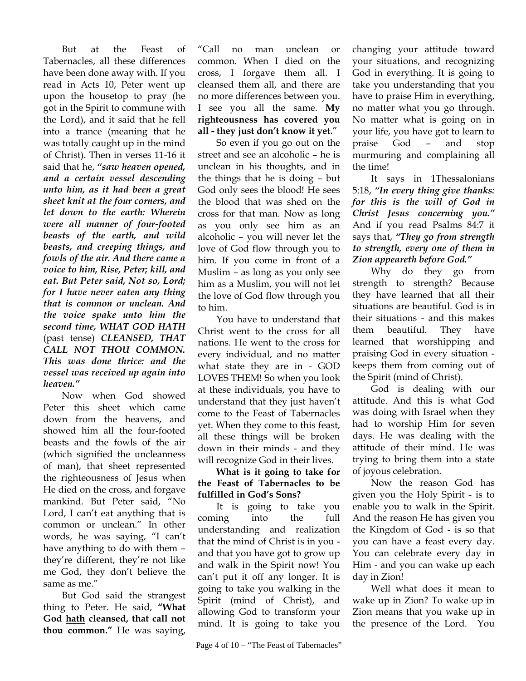But at the Feast of Tabernacles, all these differences have been done away with. If you read in Acts 10, Peter went up upon the housetop to pray (he got in the Spirit to commune with the Lord), and it said that he fell into a trance (meaning that he was totally caught up in the mind of Christ). Then in verses 11-16 it said that he, *"saw heaven opened, and a certain vessel descending unto him, as it had been a great sheet knit at the four corners, and let down to the earth: Wherein were all manner of four-footed beasts of the earth, and wild beasts, and creeping things, and fowls of the air. And there came a voice to him, Rise, Peter; kill, and eat. But Peter said, Not so, Lord; for I have never eaten any thing that is common or unclean. And the voice spake unto him the second time, WHAT GOD HATH*  (past tense) *CLEANSED, THAT CALL NOT THOU COMMON. This was done thrice: and the vessel was received up again into heaven."*

Now when God showed Peter this sheet which came down from the heavens, and showed him all the four-footed beasts and the fowls of the air (which signified the uncleanness of man), that sheet represented the righteousness of Jesus when He died on the cross, and forgave mankind. But Peter said, "No Lord, I can't eat anything that is common or unclean." In other words, he was saying, "I can't have anything to do with them – they're different, they're not like me God, they don't believe the same as me."

But God said the strangest thing to Peter. He said, **"What God hath cleansed, that call not thou common."** He was saying,

"Call no man unclean or common. When I died on the cross, I forgave them all. I cleansed them all, and there are no more differences between you. I see you all the same. **My righteousness has covered you all - they just don't know it yet.**"

So even if you go out on the street and see an alcoholic – he is unclean in his thoughts, and in the things that he is doing – but God only sees the blood! He sees the blood that was shed on the cross for that man. Now as long as you only see him as an alcoholic – you will never let the love of God flow through you to him. If you come in front of a Muslim – as long as you only see him as a Muslim, you will not let the love of God flow through you to him.

You have to understand that Christ went to the cross for all nations. He went to the cross for every individual, and no matter what state they are in - GOD LOVES THEM! So when you look at these individuals, you have to understand that they just haven't come to the Feast of Tabernacles yet. When they come to this feast, all these things will be broken down in their minds - and they will recognize God in their lives.

## **What is it going to take for the Feast of Tabernacles to be fulfilled in God's Sons?**

It is going to take you coming into the full understanding and realization that the mind of Christ is in you and that you have got to grow up and walk in the Spirit now! You can't put it off any longer. It is going to take you walking in the Spirit (mind of Christ), and allowing God to transform your mind. It is going to take you

changing your attitude toward your situations, and recognizing God in everything. It is going to take you understanding that you have to praise Him in everything, no matter what you go through. No matter what is going on in your life, you have got to learn to praise God – and stop murmuring and complaining all the time!

It says in 1Thessalonians 5:18, *"In every thing give thanks: for this is the will of God in Christ Jesus concerning you."* And if you read Psalms 84:7 it says that, *"They go from strength to strength, every one of them in Zion appeareth before God."*

Why do they go from strength to strength? Because they have learned that all their situations are beautiful. God is in their situations - and this makes them beautiful. They have learned that worshipping and praising God in every situation keeps them from coming out of the Spirit (mind of Christ).

God is dealing with our attitude. And this is what God was doing with Israel when they had to worship Him for seven days. He was dealing with the attitude of their mind. He was trying to bring them into a state of joyous celebration.

Now the reason God has given you the Holy Spirit - is to enable you to walk in the Spirit. And the reason He has given you the Kingdom of God - is so that you can have a feast every day. You can celebrate every day in Him - and you can wake up each day in Zion!

Well what does it mean to wake up in Zion? To wake up in Zion means that you wake up in the presence of the Lord. You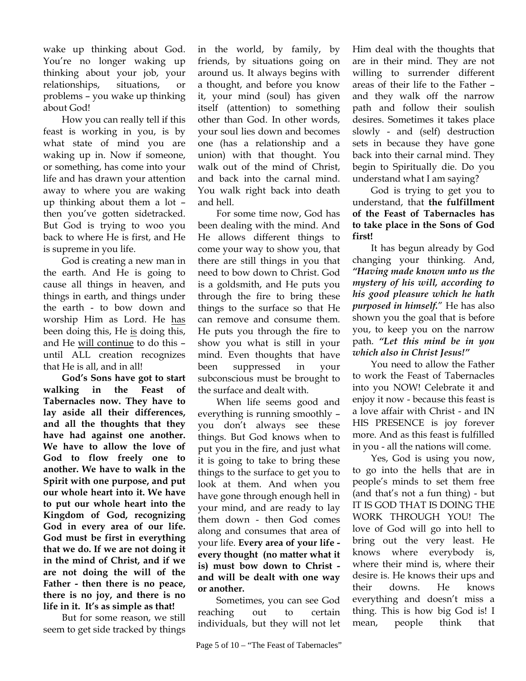wake up thinking about God. You're no longer waking up thinking about your job, your relationships, situations, or problems – you wake up thinking about God!

How you can really tell if this feast is working in you, is by what state of mind you are waking up in. Now if someone, or something, has come into your life and has drawn your attention away to where you are waking up thinking about them a lot – then you've gotten sidetracked. But God is trying to woo you back to where He is first, and He is supreme in you life.

God is creating a new man in the earth. And He is going to cause all things in heaven, and things in earth, and things under the earth - to bow down and worship Him as Lord. He has been doing this, He is doing this, and He will continue to do this – until ALL creation recognizes that He is all, and in all!

**God's Sons have got to start walking in the Feast of Tabernacles now. They have to lay aside all their differences, and all the thoughts that they have had against one another. We have to allow the love of God to flow freely one to another. We have to walk in the Spirit with one purpose, and put our whole heart into it. We have to put our whole heart into the Kingdom of God, recognizing God in every area of our life. God must be first in everything that we do. If we are not doing it in the mind of Christ, and if we are not doing the will of the Father - then there is no peace, there is no joy, and there is no life in it. It's as simple as that!** 

But for some reason, we still seem to get side tracked by things in the world, by family, by friends, by situations going on around us. It always begins with a thought, and before you know it, your mind (soul) has given itself (attention) to something other than God. In other words, your soul lies down and becomes one (has a relationship and a union) with that thought. You walk out of the mind of Christ, and back into the carnal mind. You walk right back into death and hell.

For some time now, God has been dealing with the mind. And He allows different things to come your way to show you, that there are still things in you that need to bow down to Christ. God is a goldsmith, and He puts you through the fire to bring these things to the surface so that He can remove and consume them. He puts you through the fire to show you what is still in your mind. Even thoughts that have been suppressed in your subconscious must be brought to the surface and dealt with.

When life seems good and everything is running smoothly – you don't always see these things. But God knows when to put you in the fire, and just what it is going to take to bring these things to the surface to get you to look at them. And when you have gone through enough hell in your mind, and are ready to lay them down - then God comes along and consumes that area of your life. **Every area of your life every thought (no matter what it is) must bow down to Christ and will be dealt with one way or another.**

Sometimes, you can see God reaching out to certain individuals, but they will not let

Him deal with the thoughts that are in their mind. They are not willing to surrender different areas of their life to the Father – and they walk off the narrow path and follow their soulish desires. Sometimes it takes place slowly - and (self) destruction sets in because they have gone back into their carnal mind. They begin to Spiritually die. Do you understand what I am saying?

God is trying to get you to understand, that **the fulfillment of the Feast of Tabernacles has to take place in the Sons of God first!** 

It has begun already by God changing your thinking. And, *"Having made known unto us the mystery of his will, according to his good pleasure which he hath purposed in himself.*" He has also shown you the goal that is before you, to keep you on the narrow path. *"Let this mind be in you which also in Christ Jesus!"*

You need to allow the Father to work the Feast of Tabernacles into you NOW! Celebrate it and enjoy it now - because this feast is a love affair with Christ - and IN HIS PRESENCE is joy forever more. And as this feast is fulfilled in you - all the nations will come.

Yes, God is using you now, to go into the hells that are in people's minds to set them free (and that's not a fun thing) - but IT IS GOD THAT IS DOING THE WORK THROUGH YOU! The love of God will go into hell to bring out the very least. He knows where everybody is, where their mind is, where their desire is. He knows their ups and their downs. He knows everything and doesn't miss a thing. This is how big God is! I mean, people think that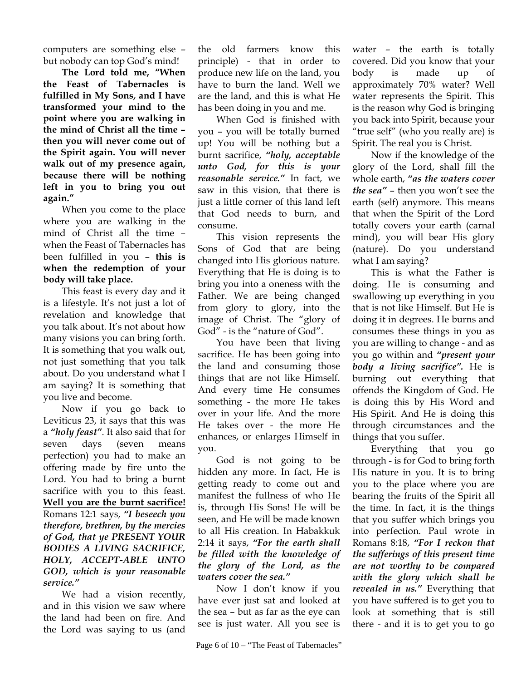computers are something else – but nobody can top God's mind!

**The Lord told me, "When the Feast of Tabernacles is fulfilled in My Sons, and I have transformed your mind to the point where you are walking in the mind of Christ all the time – then you will never come out of the Spirit again. You will never walk out of my presence again, because there will be nothing left in you to bring you out again."** 

When you come to the place where you are walking in the mind of Christ all the time – when the Feast of Tabernacles has been fulfilled in you – **this is when the redemption of your body will take place.**

This feast is every day and it is a lifestyle. It's not just a lot of revelation and knowledge that you talk about. It's not about how many visions you can bring forth. It is something that you walk out, not just something that you talk about. Do you understand what I am saying? It is something that you live and become.

Now if you go back to Leviticus 23, it says that this was a *"holy feast"*. It also said that for seven days (seven means perfection) you had to make an offering made by fire unto the Lord. You had to bring a burnt sacrifice with you to this feast. **Well you are the burnt sacrifice!** Romans 12:1 says, *"I beseech you therefore, brethren, by the mercies of God, that ye PRESENT YOUR BODIES A LIVING SACRIFICE, HOLY, ACCEPT-ABLE UNTO GOD, which is your reasonable service."* 

We had a vision recently, and in this vision we saw where the land had been on fire. And the Lord was saying to us (and the old farmers know this principle) - that in order to produce new life on the land, you have to burn the land. Well we are the land, and this is what He has been doing in you and me.

When God is finished with you – you will be totally burned up! You will be nothing but a burnt sacrifice, *"holy, acceptable unto God, for this is your reasonable service."* In fact, we saw in this vision, that there is just a little corner of this land left that God needs to burn, and consume.

This vision represents the Sons of God that are being changed into His glorious nature. Everything that He is doing is to bring you into a oneness with the Father. We are being changed from glory to glory, into the image of Christ. The "glory of God" - is the "nature of God".

You have been that living sacrifice. He has been going into the land and consuming those things that are not like Himself. And every time He consumes something - the more He takes over in your life. And the more He takes over - the more He enhances, or enlarges Himself in you.

God is not going to be hidden any more. In fact, He is getting ready to come out and manifest the fullness of who He is, through His Sons! He will be seen, and He will be made known to all His creation. In Habakkuk 2:14 it says, *"For the earth shall be filled with the knowledge of the glory of the Lord, as the waters cover the sea."*

Now I don't know if you have ever just sat and looked at the sea – but as far as the eye can see is just water. All you see is water – the earth is totally covered. Did you know that your body is made up of approximately 70% water? Well water represents the Spirit. This is the reason why God is bringing you back into Spirit, because your "true self" (who you really are) is Spirit. The real you is Christ.

Now if the knowledge of the glory of the Lord, shall fill the whole earth, *"as the waters cover the sea"* – then you won't see the earth (self) anymore. This means that when the Spirit of the Lord totally covers your earth (carnal mind), you will bear His glory (nature). Do you understand what I am saying?

This is what the Father is doing. He is consuming and swallowing up everything in you that is not like Himself. But He is doing it in degrees. He burns and consumes these things in you as you are willing to change - and as you go within and *"present your body a living sacrifice".* He is burning out everything that offends the Kingdom of God. He is doing this by His Word and His Spirit. And He is doing this through circumstances and the things that you suffer.

Everything that you go through - is for God to bring forth His nature in you. It is to bring you to the place where you are bearing the fruits of the Spirit all the time. In fact, it is the things that you suffer which brings you into perfection. Paul wrote in Romans 8:18, *"For I reckon that the sufferings of this present time are not worthy to be compared with the glory which shall be revealed in us."* Everything that you have suffered is to get you to look at something that is still there - and it is to get you to go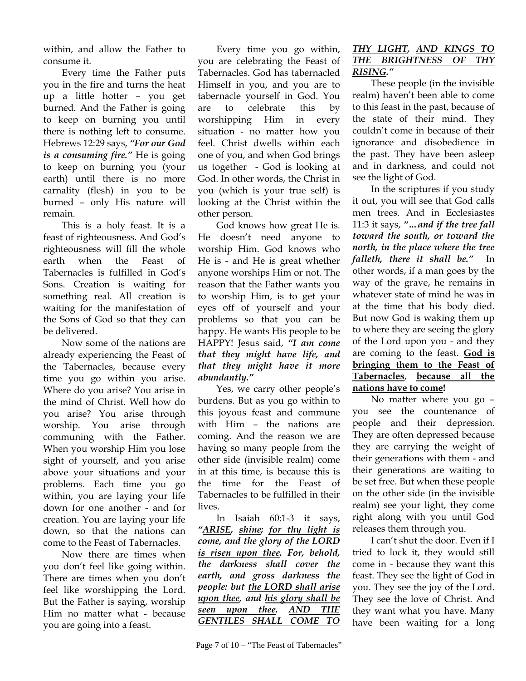within, and allow the Father to consume it.

Every time the Father puts you in the fire and turns the heat up a little hotter – you get burned. And the Father is going to keep on burning you until there is nothing left to consume. Hebrews 12:29 says, *"For our God is a consuming fire."* He is going to keep on burning you (your earth) until there is no more carnality (flesh) in you to be burned – only His nature will remain.

This is a holy feast. It is a feast of righteousness. And God's righteousness will fill the whole earth when the Feast of Tabernacles is fulfilled in God's Sons. Creation is waiting for something real. All creation is waiting for the manifestation of the Sons of God so that they can be delivered.

Now some of the nations are already experiencing the Feast of the Tabernacles, because every time you go within you arise. Where do you arise? You arise in the mind of Christ. Well how do you arise? You arise through worship. You arise through communing with the Father. When you worship Him you lose sight of yourself, and you arise above your situations and your problems. Each time you go within, you are laying your life down for one another - and for creation. You are laying your life down, so that the nations can come to the Feast of Tabernacles.

Now there are times when you don't feel like going within. There are times when you don't feel like worshipping the Lord. But the Father is saying, worship Him no matter what - because you are going into a feast.

Every time you go within, you are celebrating the Feast of Tabernacles. God has tabernacled Himself in you, and you are to tabernacle yourself in God. You are to celebrate this by worshipping Him in every situation - no matter how you feel. Christ dwells within each one of you, and when God brings us together - God is looking at God. In other words, the Christ in you (which is your true self) is looking at the Christ within the other person.

God knows how great He is. He doesn't need anyone to worship Him. God knows who He is - and He is great whether anyone worships Him or not. The reason that the Father wants you to worship Him, is to get your eyes off of yourself and your problems so that you can be happy. He wants His people to be HAPPY! Jesus said, *"I am come that they might have life, and that they might have it more abundantly."*

Yes, we carry other people's burdens. But as you go within to this joyous feast and commune with Him – the nations are coming. And the reason we are having so many people from the other side (invisible realm) come in at this time, is because this is the time for the Feast of Tabernacles to be fulfilled in their lives.

In Isaiah 60:1-3 it says, *"ARISE, shine; for thy light is come, and the glory of the LORD is risen upon thee. For, behold, the darkness shall cover the earth, and gross darkness the people: but the LORD shall arise upon thee, and his glory shall be seen upon thee. AND THE GENTILES SHALL COME TO* 

## *THY LIGHT, AND KINGS TO THE BRIGHTNESS OF THY RISING."*

These people (in the invisible realm) haven't been able to come to this feast in the past, because of the state of their mind. They couldn't come in because of their ignorance and disobedience in the past. They have been asleep and in darkness, and could not see the light of God.

In the scriptures if you study it out, you will see that God calls men trees. And in Ecclesiastes 11:3 it says, *"…and if the tree fall toward the south, or toward the north, in the place where the tree falleth, there it shall be."* In other words, if a man goes by the way of the grave, he remains in whatever state of mind he was in at the time that his body died. But now God is waking them up to where they are seeing the glory of the Lord upon you - and they are coming to the feast. **God is bringing them to the Feast of Tabernacles**, **because all the nations have to come!**

No matter where you go – you see the countenance of people and their depression. They are often depressed because they are carrying the weight of their generations with them - and their generations are waiting to be set free. But when these people on the other side (in the invisible realm) see your light, they come right along with you until God releases them through you.

I can't shut the door. Even if I tried to lock it, they would still come in - because they want this feast. They see the light of God in you. They see the joy of the Lord. They see the love of Christ. And they want what you have. Many have been waiting for a long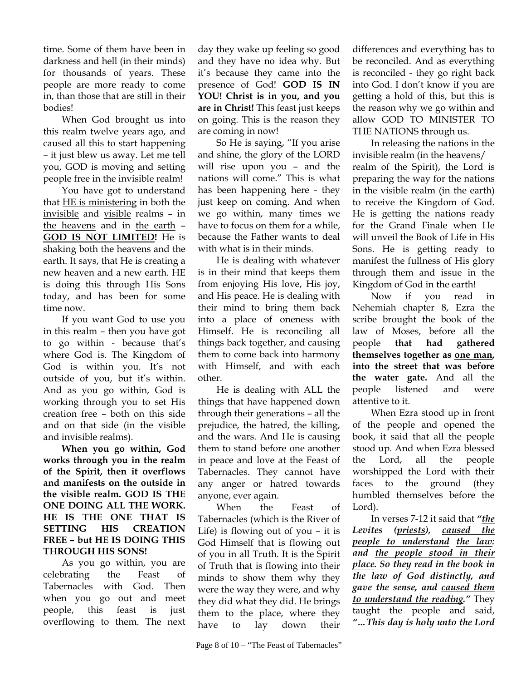time. Some of them have been in darkness and hell (in their minds) for thousands of years. These people are more ready to come in, than those that are still in their bodies!

When God brought us into this realm twelve years ago, and caused all this to start happening – it just blew us away. Let me tell you, GOD is moving and setting people free in the invisible realm!

You have got to understand that **HE** is ministering in both the invisible and visible realms – in the heavens and in the earth – **GOD IS NOT LIMITED!** He is shaking both the heavens and the earth. It says, that He is creating a new heaven and a new earth. HE is doing this through His Sons today, and has been for some time now.

If you want God to use you in this realm – then you have got to go within - because that's where God is. The Kingdom of God is within you. It's not outside of you, but it's within. And as you go within, God is working through you to set His creation free – both on this side and on that side (in the visible and invisible realms).

**When you go within, God works through you in the realm of the Spirit, then it overflows and manifests on the outside in the visible realm. GOD IS THE ONE DOING ALL THE WORK. HE IS THE ONE THAT IS SETTING HIS CREATION FREE – but HE IS DOING THIS THROUGH HIS SONS!**

As you go within, you are celebrating the Feast of Tabernacles with God. Then when you go out and meet people, this feast is just overflowing to them. The next

day they wake up feeling so good and they have no idea why. But it's because they came into the presence of God! **GOD IS IN YOU! Christ is in you, and you are in Christ!** This feast just keeps on going. This is the reason they are coming in now!

So He is saying, "If you arise and shine, the glory of the LORD will rise upon you – and the nations will come." This is what has been happening here - they just keep on coming. And when we go within, many times we have to focus on them for a while, because the Father wants to deal with what is in their minds.

He is dealing with whatever is in their mind that keeps them from enjoying His love, His joy, and His peace. He is dealing with their mind to bring them back into a place of oneness with Himself. He is reconciling all things back together, and causing them to come back into harmony with Himself, and with each other.

He is dealing with ALL the things that have happened down through their generations – all the prejudice, the hatred, the killing, and the wars. And He is causing them to stand before one another in peace and love at the Feast of Tabernacles. They cannot have any anger or hatred towards anyone, ever again.

When the Feast of Tabernacles (which is the River of Life) is flowing out of you – it is God Himself that is flowing out of you in all Truth. It is the Spirit of Truth that is flowing into their minds to show them why they were the way they were, and why they did what they did. He brings them to the place, where they have to lay down their

is reconciled - they go right back into God. I don't know if you are getting a hold of this, but this is the reason why we go within and allow GOD TO MINISTER TO THE NATIONS through us. In releasing the nations in the

differences and everything has to be reconciled. And as everything

invisible realm (in the heavens/ realm of the Spirit), the Lord is preparing the way for the nations in the visible realm (in the earth) to receive the Kingdom of God. He is getting the nations ready for the Grand Finale when He will unveil the Book of Life in His Sons. He is getting ready to manifest the fullness of His glory through them and issue in the Kingdom of God in the earth!

Now if you read in Nehemiah chapter 8, Ezra the scribe brought the book of the law of Moses, before all the people **that had gathered themselves together as one man, into the street that was before the water gate.** And all the people listened and were attentive to it.

When Ezra stood up in front of the people and opened the book, it said that all the people stood up. And when Ezra blessed the Lord, all the people worshipped the Lord with their faces to the ground (they humbled themselves before the Lord).

In verses 7-12 it said that *"the Levites (priests), caused the people to understand the law: and the people stood in their place. So they read in the book in the law of God distinctly, and gave the sense, and caused them to understand the reading."* They taught the people and said, *"…This day is holy unto the Lord*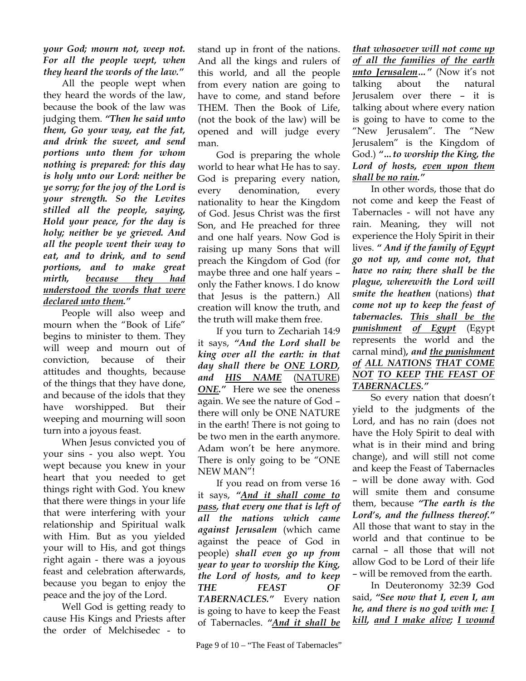*your God; mourn not, weep not. For all the people wept, when they heard the words of the law."* 

All the people wept when they heard the words of the law, because the book of the law was judging them. *"Then he said unto them, Go your way, eat the fat, and drink the sweet, and send portions unto them for whom nothing is prepared: for this day is holy unto our Lord: neither be ye sorry; for the joy of the Lord is your strength. So the Levites stilled all the people, saying, Hold your peace, for the day is holy; neither be ye grieved. And all the people went their way to eat, and to drink, and to send portions, and to make great mirth, because they had understood the words that were declared unto them."*

People will also weep and mourn when the "Book of Life" begins to minister to them. They will weep and mourn out of conviction, because of their attitudes and thoughts, because of the things that they have done, and because of the idols that they have worshipped. But their weeping and mourning will soon turn into a joyous feast.

When Jesus convicted you of your sins - you also wept. You wept because you knew in your heart that you needed to get things right with God. You knew that there were things in your life that were interfering with your relationship and Spiritual walk with Him. But as you yielded your will to His, and got things right again - there was a joyous feast and celebration afterwards, because you began to enjoy the peace and the joy of the Lord.

Well God is getting ready to cause His Kings and Priests after the order of Melchisedec - to

stand up in front of the nations. And all the kings and rulers of this world, and all the people from every nation are going to have to come, and stand before THEM. Then the Book of Life, (not the book of the law) will be opened and will judge every man.

God is preparing the whole world to hear what He has to say. God is preparing every nation, every denomination, every nationality to hear the Kingdom of God. Jesus Christ was the first Son, and He preached for three and one half years. Now God is raising up many Sons that will preach the Kingdom of God (for maybe three and one half years – only the Father knows. I do know that Jesus is the pattern.) All creation will know the truth, and the truth will make them free.

If you turn to Zechariah 14:9 it says, *"And the Lord shall be king over all the earth: in that day shall there be ONE LORD, and HIS NAME* (NATURE) *ONE."* Here we see the oneness again. We see the nature of God – there will only be ONE NATURE in the earth! There is not going to be two men in the earth anymore. Adam won't be here anymore. There is only going to be "ONE NEW MAN"!

If you read on from verse 16 it says, *"And it shall come to pass, that every one that is left of all the nations which came against Jerusalem* (which came against the peace of God in people) *shall even go up from year to year to worship the King, the Lord of hosts, and to keep THE FEAST OF TABERNACLES."* Every nation is going to have to keep the Feast of Tabernacles. *"And it shall be*

Page 9 of  $10 -$  "The Feast of Tabernacles"

*that whosoever will not come up of all the families of the earth unto Jerusalem…"* (Now it's not talking about the natural Jerusalem over there – it is talking about where every nation is going to have to come to the "New Jerusalem". The "New Jerusalem" is the Kingdom of God.) *"…to worship the King, the Lord of hosts, even upon them shall be no rain."*

In other words, those that do not come and keep the Feast of Tabernacles - will not have any rain. Meaning, they will not experience the Holy Spirit in their lives. *" And if the family of Egypt go not up, and come not, that have no rain; there shall be the plague, wherewith the Lord will smite the heathen* (nations) *that come not up to keep the feast of tabernacles. This shall be the punishment of Egypt* (Egypt represents the world and the carnal mind)*, and the punishment of ALL NATIONS THAT COME NOT TO KEEP THE FEAST OF TABERNACLES."*

So every nation that doesn't yield to the judgments of the Lord, and has no rain (does not have the Holy Spirit to deal with what is in their mind and bring change), and will still not come and keep the Feast of Tabernacles – will be done away with. God will smite them and consume them, because *"The earth is the Lord's, and the fullness thereof."* All those that want to stay in the world and that continue to be carnal – all those that will not allow God to be Lord of their life – will be removed from the earth.

In Deuteronomy 32:39 God said, *"See now that I, even I, am he, and there is no god with me: I kill, and I make alive; I wound*